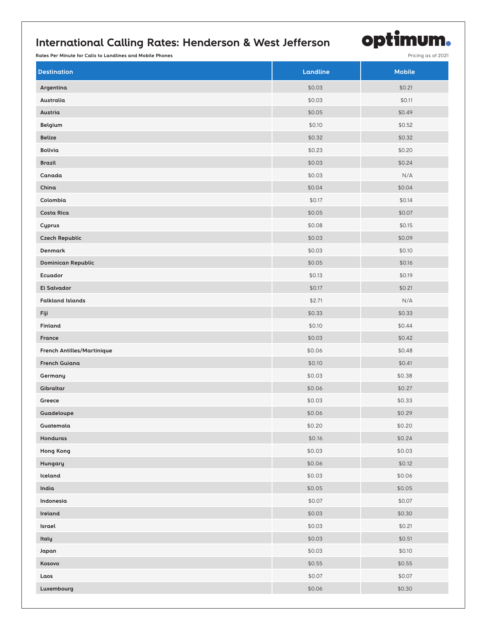## **International Calling Rates: Henderson & West Jefferson**

optimum.

**Rates Per Minute for Calls to Landlines and Mobile Phones Pricing as of 2021** 

| <b>Destination</b>                | Landline | <b>Mobile</b> |
|-----------------------------------|----------|---------------|
| Argentina                         | \$0.03   | \$0.21        |
| Australia                         | \$0.03   | \$0.11        |
| Austria                           | \$0.05   | \$0.49        |
| Belgium                           | \$0.10   | \$0.52        |
| <b>Belize</b>                     | \$0.32   | \$0.32        |
| Bolivia                           | \$0.23   | \$0.20        |
| <b>Brazil</b>                     | \$0.03   | \$0.24        |
| Canada                            | \$0.03   | N/A           |
| China                             | \$0.04   | \$0.04        |
| Colombia                          | \$0.17   | \$0.14        |
| <b>Costa Rica</b>                 | \$0.05   | \$0.07        |
| Cyprus                            | \$0.08   | \$0.15        |
| <b>Czech Republic</b>             | \$0.03   | \$0.09        |
| Denmark                           | \$0.03   | \$0.10        |
| <b>Dominican Republic</b>         | \$0.05   | \$0.16        |
| Ecuador                           | \$0.13   | \$0.19        |
| <b>El Salvador</b>                | \$0.17   | \$0.21        |
| <b>Falkland Islands</b>           | \$2.71   | N/A           |
| Fiji                              | \$0.33   | \$0.33        |
| Finland                           | \$0.10   | \$0.44        |
| France                            | \$0.03   | \$0.42        |
| <b>French Antilles/Martinique</b> | \$0.06   | \$0.48        |
| <b>French Guiana</b>              | \$0.10   | \$0.41        |
| Germany                           | \$0.03   | \$0.38        |
| Gibraltar                         | \$0.06   | \$0.27        |
| Greece                            | \$0.03   | \$0.33        |
| Guadeloupe                        | \$0.06   | \$0.29        |
| Guatemala                         | \$0.20   | \$0.20        |
| Honduras                          | \$0.16   | \$0.24        |
| Hong Kong                         | \$0.03   | \$0.03        |
| Hungary                           | \$0.06   | \$0.12        |
| Iceland                           | \$0.03   | \$0.06        |
| India                             | \$0.05   | \$0.05        |
| Indonesia                         | \$0.07   | \$0.07        |
| Ireland                           | \$0.03   | \$0.30        |
| Israel                            | \$0.03   | \$0.21        |
| Italy                             | \$0.03   | \$0.51        |
| Japan                             | \$0.03   | \$0.10        |
| Kosovo                            | \$0.55   | \$0.55        |
| Laos                              | \$0.07   | \$0.07        |
| Luxembourg                        | \$0.06   | \$0.30        |